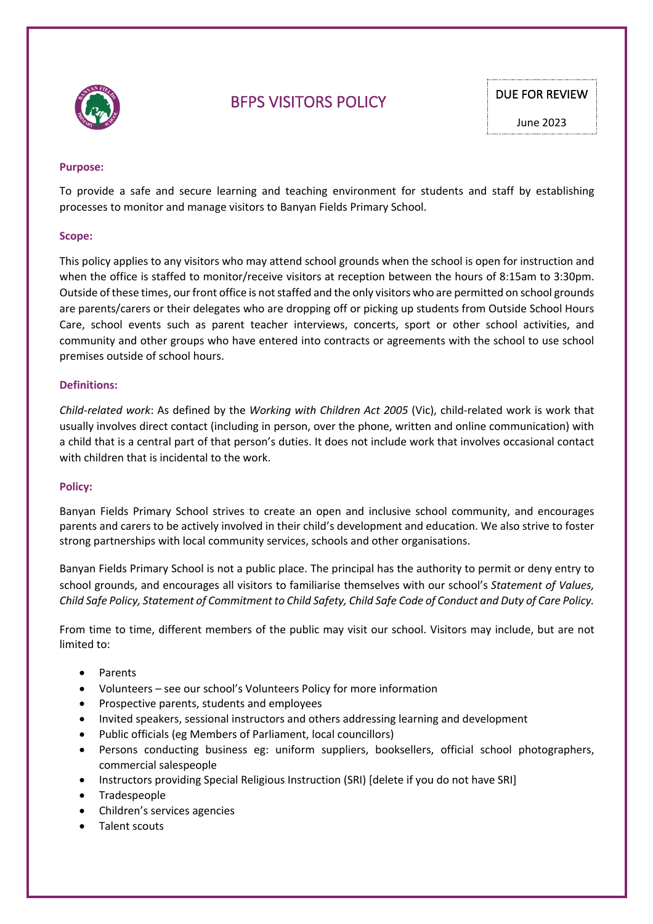

# BFPS VISITORS POLICY DUE FOR REVIEW

#### **Purpose:**

To provide a safe and secure learning and teaching environment for students and staff by establishing processes to monitor and manage visitors to Banyan Fields Primary School.

#### **Scope:**

This policy applies to any visitors who may attend school grounds when the school is open for instruction and when the office is staffed to monitor/receive visitors at reception between the hours of 8:15am to 3:30pm. Outside of these times, our front office is not staffed and the only visitors who are permitted on school grounds are parents/carers or their delegates who are dropping off or picking up students from Outside School Hours Care, school events such as parent teacher interviews, concerts, sport or other school activities, and community and other groups who have entered into contracts or agreements with the school to use school premises outside of school hours.

#### **Definitions:**

*Child-related work*: As defined by the *Working with Children Act 2005* (Vic), child-related work is work that usually involves direct contact (including in person, over the phone, written and online communication) with a child that is a central part of that person's duties. It does not include work that involves occasional contact with children that is incidental to the work.

#### **Policy:**

Banyan Fields Primary School strives to create an open and inclusive school community, and encourages parents and carers to be actively involved in their child's development and education. We also strive to foster strong partnerships with local community services, schools and other organisations.

Banyan Fields Primary School is not a public place. The principal has the authority to permit or deny entry to school grounds, and encourages all visitors to familiarise themselves with our school's *Statement of Values, Child Safe Policy, Statement of Commitment to Child Safety, Child Safe Code of Conduct and Duty of Care Policy.* 

From time to time, different members of the public may visit our school. Visitors may include, but are not limited to:

- Parents
- Volunteers see our school's Volunteers Policy for more information
- Prospective parents, students and employees
- Invited speakers, sessional instructors and others addressing learning and development
- Public officials (eg Members of Parliament, local councillors)
- Persons conducting business eg: uniform suppliers, booksellers, official school photographers, commercial salespeople
- Instructors providing Special Religious Instruction (SRI) [delete if you do not have SRI]
- Tradespeople
- Children's services agencies
- Talent scouts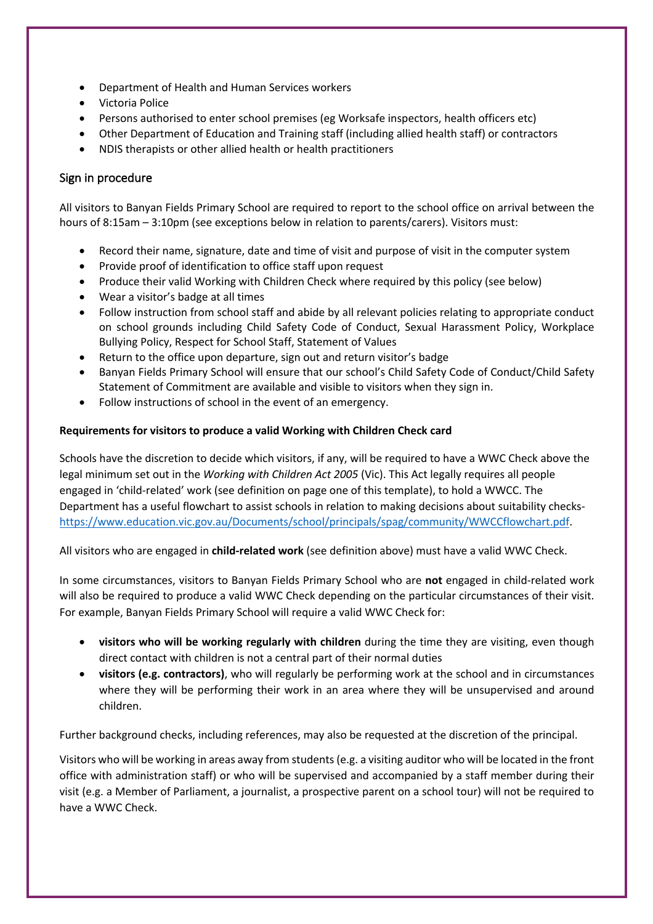- Department of Health and Human Services workers
- Victoria Police
- Persons authorised to enter school premises (eg Worksafe inspectors, health officers etc)
- Other Department of Education and Training staff (including allied health staff) or contractors
- NDIS therapists or other allied health or health practitioners

# Sign in procedure

All visitors to Banyan Fields Primary School are required to report to the school office on arrival between the hours of 8:15am – 3:10pm (see exceptions below in relation to parents/carers). Visitors must:

- Record their name, signature, date and time of visit and purpose of visit in the computer system
- Provide proof of identification to office staff upon request
- Produce their valid Working with Children Check where required by this policy (see below)
- Wear a visitor's badge at all times
- Follow instruction from school staff and abide by all relevant policies relating to appropriate conduct on school grounds including Child Safety Code of Conduct, Sexual Harassment Policy, Workplace Bullying Policy, Respect for School Staff, Statement of Values
- Return to the office upon departure, sign out and return visitor's badge
- Banyan Fields Primary School will ensure that our school's Child Safety Code of Conduct/Child Safety Statement of Commitment are available and visible to visitors when they sign in.
- Follow instructions of school in the event of an emergency.

## **Requirements for visitors to produce a valid Working with Children Check card**

Schools have the discretion to decide which visitors, if any, will be required to have a WWC Check above the legal minimum set out in the *Working with Children Act 2005* (Vic). This Act legally requires all people engaged in 'child-related' work (see definition on page one of this template), to hold a WWCC. The Department has a useful flowchart to assist schools in relation to making decisions about suitability checkshttps://www.education.vic.gov.au/Documents/school/principals/spag/community/WWCCflowchart.pdf.

All visitors who are engaged in **child-related work** (see definition above) must have a valid WWC Check.

In some circumstances, visitors to Banyan Fields Primary School who are **not** engaged in child-related work will also be required to produce a valid WWC Check depending on the particular circumstances of their visit. For example, Banyan Fields Primary School will require a valid WWC Check for:

- **visitors who will be working regularly with children** during the time they are visiting, even though direct contact with children is not a central part of their normal duties
- **visitors (e.g. contractors)**, who will regularly be performing work at the school and in circumstances where they will be performing their work in an area where they will be unsupervised and around children.

Further background checks, including references, may also be requested at the discretion of the principal.

Visitors who will be working in areas away from students (e.g. a visiting auditor who will be located in the front office with administration staff) or who will be supervised and accompanied by a staff member during their visit (e.g. a Member of Parliament, a journalist, a prospective parent on a school tour) will not be required to have a WWC Check.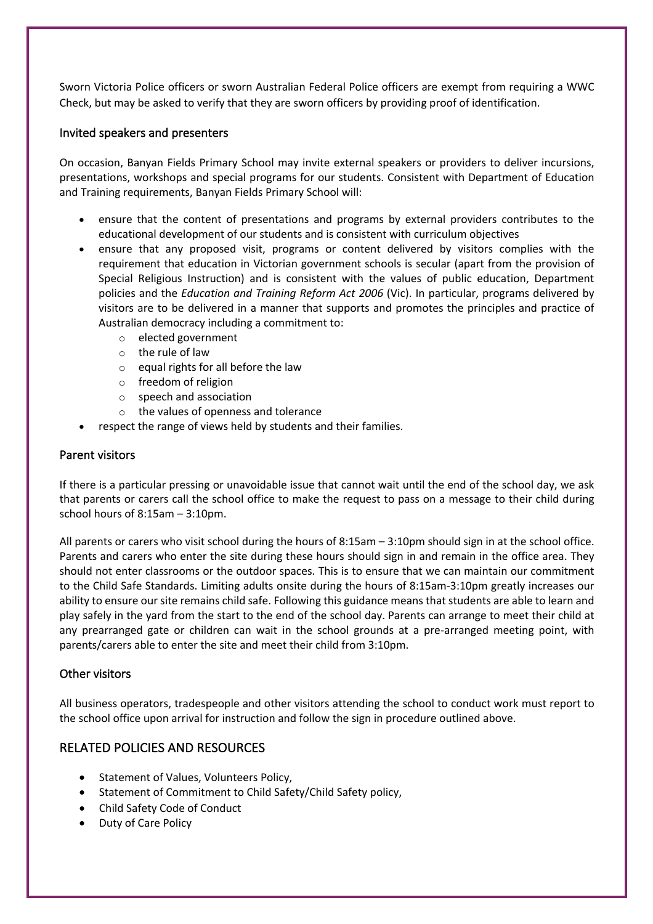Sworn Victoria Police officers or sworn Australian Federal Police officers are exempt from requiring a WWC Check, but may be asked to verify that they are sworn officers by providing proof of identification.

### Invited speakers and presenters

On occasion, Banyan Fields Primary School may invite external speakers or providers to deliver incursions, presentations, workshops and special programs for our students. Consistent with Department of Education and Training requirements, Banyan Fields Primary School will:

- ensure that the content of presentations and programs by external providers contributes to the educational development of our students and is consistent with curriculum objectives
- ensure that any proposed visit, programs or content delivered by visitors complies with the requirement that education in Victorian government schools is secular (apart from the provision of Special Religious Instruction) and is consistent with the values of public education, Department policies and the *Education and Training Reform Act 2006* (Vic). In particular, programs delivered by visitors are to be delivered in a manner that supports and promotes the principles and practice of Australian democracy including a commitment to:
	- o elected government
	- o the rule of law
	- $\circ$  equal rights for all before the law
	- o freedom of religion
	- o speech and association
	- o the values of openness and tolerance
- respect the range of views held by students and their families.

### Parent visitors

If there is a particular pressing or unavoidable issue that cannot wait until the end of the school day, we ask that parents or carers call the school office to make the request to pass on a message to their child during school hours of 8:15am – 3:10pm.

All parents or carers who visit school during the hours of 8:15am – 3:10pm should sign in at the school office. Parents and carers who enter the site during these hours should sign in and remain in the office area. They should not enter classrooms or the outdoor spaces. This is to ensure that we can maintain our commitment to the Child Safe Standards. Limiting adults onsite during the hours of 8:15am-3:10pm greatly increases our ability to ensure our site remains child safe. Following this guidance means that students are able to learn and play safely in the yard from the start to the end of the school day. Parents can arrange to meet their child at any prearranged gate or children can wait in the school grounds at a pre-arranged meeting point, with parents/carers able to enter the site and meet their child from 3:10pm.

### Other visitors

All business operators, tradespeople and other visitors attending the school to conduct work must report to the school office upon arrival for instruction and follow the sign in procedure outlined above.

# RELATED POLICIES AND RESOURCES

- Statement of Values, Volunteers Policy,
- Statement of Commitment to Child Safety/Child Safety policy,
- Child Safety Code of Conduct
- Duty of Care Policy